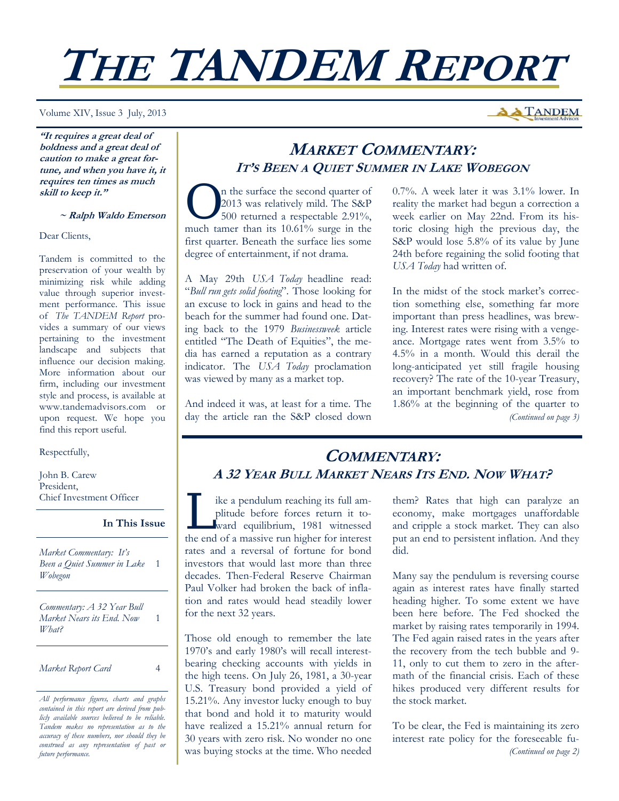# **THE TANDEM REPORT**

Volume XIV, Issue 3 July, 2013

**A TANDEM** 

**"It requires a great deal of boldness and a great deal of caution to make a great fortune, and when you have it, it requires ten times as much skill to keep it."** 

#### **~ Ralph Waldo Emerson**

Dear Clients,

Tandem is committed to the preservation of your wealth by minimizing risk while adding value through superior investment performance. This issue of *The TANDEM Report* provides a summary of our views pertaining to the investment landscape and subjects that influence our decision making. More information about our firm, including our investment style and process, is available at www.tandemadvisors.com or upon request. We hope you find this report useful.

Respectfully,

John B. Carew President, Chief Investment Officer

#### **In This Issue**

1

*Market Commentary: It's Been a Quiet Summer in Lake*  1 *Wobegon* 

*Commentary: A 32 Year Bull Market Nears its End. Now What?* 

*Market Report Card* 4

*All performance figures, charts and graphs contained in this report are derived from publicly available sources believed to be reliable. Tandem makes no representation as to the accuracy of these numbers, nor should they be construed as any representation of past or future performance.* 

## **MARKET COMMENTARY: IT'S BEEN <sup>A</sup> QUIET SUMMER IN LAKE WOBEGON**

The surface the second quarter of 2013 was relatively mild. The S&P<br>500 returned a respectable 2.91%, 2013 was relatively mild. The S&P much tamer than its 10.61% surge in the first quarter. Beneath the surface lies some degree of entertainment, if not drama.

A May 29th *USA Today* headline read: "*Bull run gets solid footing*". Those looking for an excuse to lock in gains and head to the beach for the summer had found one. Dating back to the 1979 *Businessweek* article entitled "The Death of Equities", the media has earned a reputation as a contrary indicator. The *USA Today* proclamation was viewed by many as a market top.

And indeed it was, at least for a time. The day the article ran the S&P closed down 0.7%. A week later it was 3.1% lower. In reality the market had begun a correction a week earlier on May 22nd. From its historic closing high the previous day, the S&P would lose 5.8% of its value by June 24th before regaining the solid footing that *USA Today* had written of.

In the midst of the stock market's correction something else, something far more important than press headlines, was brewing. Interest rates were rising with a vengeance. Mortgage rates went from 3.5% to 4.5% in a month. Would this derail the long-anticipated yet still fragile housing recovery? The rate of the 10-year Treasury, an important benchmark yield, rose from 1.86% at the beginning of the quarter to *(Continued on page 3)* 

## **COMMENTARY: A 32 YEAR BULL MARKET NEARS ITS END. NOW WHAT?**

ike a pendulum reaching its full amplitude before forces return it toward equilibrium, 1981 witnessed the end of a massive run higher for interest rates and a reversal of fortune for bond investors that would last more than three decades. Then-Federal Reserve Chairman Paul Volker had broken the back of inflation and rates would head steadily lower for the next 32 years.

Those old enough to remember the late 1970's and early 1980's will recall interestbearing checking accounts with yields in the high teens. On July 26, 1981, a 30-year U.S. Treasury bond provided a yield of 15.21%. Any investor lucky enough to buy that bond and hold it to maturity would have realized a 15.21% annual return for 30 years with zero risk. No wonder no one was buying stocks at the time. Who needed them? Rates that high can paralyze an economy, make mortgages unaffordable and cripple a stock market. They can also put an end to persistent inflation. And they did.

Many say the pendulum is reversing course again as interest rates have finally started heading higher. To some extent we have been here before. The Fed shocked the market by raising rates temporarily in 1994. The Fed again raised rates in the years after the recovery from the tech bubble and 9- 11, only to cut them to zero in the aftermath of the financial crisis. Each of these hikes produced very different results for the stock market.

To be clear, the Fed is maintaining its zero interest rate policy for the foreseeable fu- *(Continued on page 2)*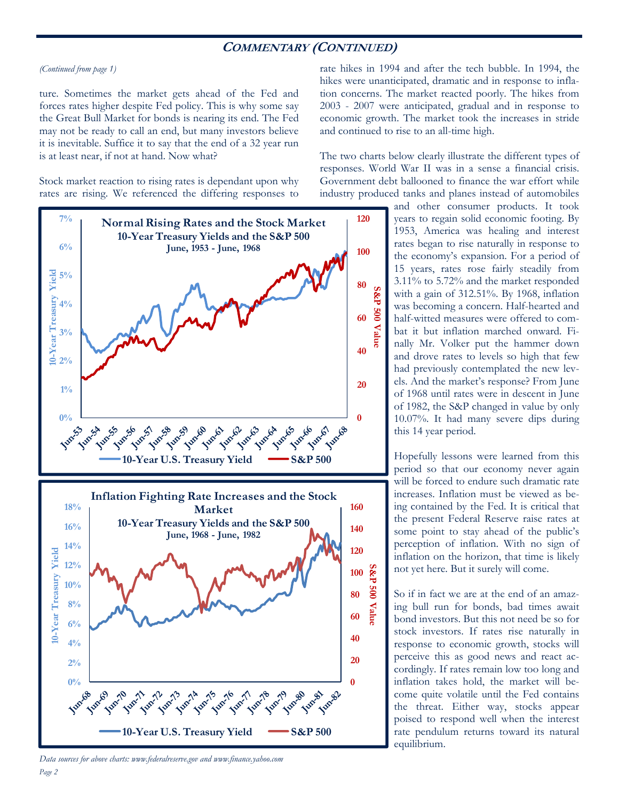## **COMMENTARY (CONTINUED)**

#### *(Continued from page 1)*

ture. Sometimes the market gets ahead of the Fed and forces rates higher despite Fed policy. This is why some say the Great Bull Market for bonds is nearing its end. The Fed may not be ready to call an end, but many investors believe it is inevitable. Suffice it to say that the end of a 32 year run is at least near, if not at hand. Now what?

Stock market reaction to rising rates is dependant upon why rates are rising. We referenced the differing responses to



*Page 2 Data sources for above charts: www.federalreserve.gov and www.finance.yahoo.com* 

rate hikes in 1994 and after the tech bubble. In 1994, the hikes were unanticipated, dramatic and in response to inflation concerns. The market reacted poorly. The hikes from 2003 - 2007 were anticipated, gradual and in response to economic growth. The market took the increases in stride and continued to rise to an all-time high.

The two charts below clearly illustrate the different types of responses. World War II was in a sense a financial crisis. Government debt ballooned to finance the war effort while industry produced tanks and planes instead of automobiles

> and other consumer products. It took years to regain solid economic footing. By 1953, America was healing and interest rates began to rise naturally in response to the economy's expansion. For a period of 15 years, rates rose fairly steadily from 3.11% to 5.72% and the market responded with a gain of 312.51%. By 1968, inflation was becoming a concern. Half-hearted and half-witted measures were offered to combat it but inflation marched onward. Finally Mr. Volker put the hammer down and drove rates to levels so high that few had previously contemplated the new levels. And the market's response? From June of 1968 until rates were in descent in June of 1982, the S&P changed in value by only 10.07%. It had many severe dips during this 14 year period.

> Hopefully lessons were learned from this period so that our economy never again will be forced to endure such dramatic rate increases. Inflation must be viewed as being contained by the Fed. It is critical that the present Federal Reserve raise rates at some point to stay ahead of the public's perception of inflation. With no sign of inflation on the horizon, that time is likely not yet here. But it surely will come.

> So if in fact we are at the end of an amazing bull run for bonds, bad times await bond investors. But this not need be so for stock investors. If rates rise naturally in response to economic growth, stocks will perceive this as good news and react accordingly. If rates remain low too long and inflation takes hold, the market will become quite volatile until the Fed contains the threat. Either way, stocks appear poised to respond well when the interest rate pendulum returns toward its natural equilibrium.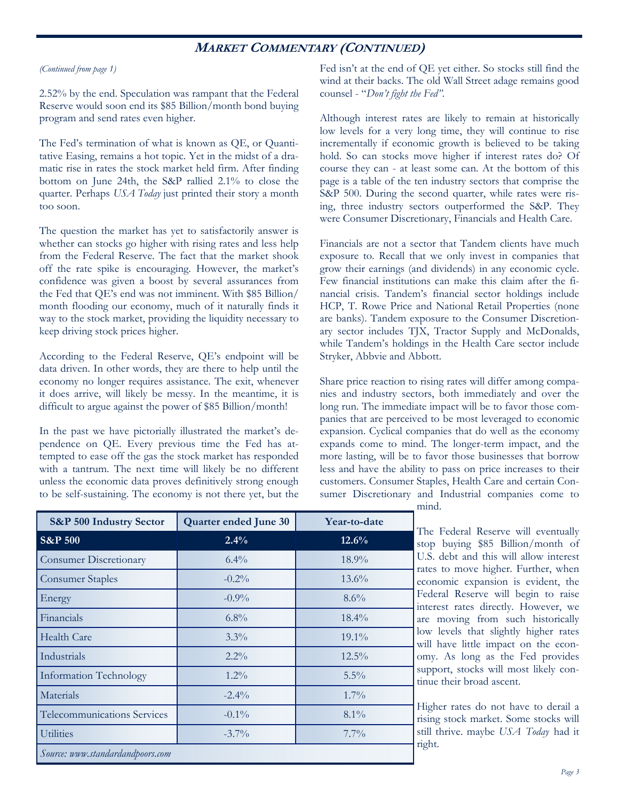## **MARKET COMMENTARY (CONTINUED)**

#### *(Continued from page 1)*

2.52% by the end. Speculation was rampant that the Federal Reserve would soon end its \$85 Billion/month bond buying program and send rates even higher.

The Fed's termination of what is known as QE, or Quantitative Easing, remains a hot topic. Yet in the midst of a dramatic rise in rates the stock market held firm. After finding bottom on June 24th, the S&P rallied 2.1% to close the quarter. Perhaps *USA Today* just printed their story a month too soon.

The question the market has yet to satisfactorily answer is whether can stocks go higher with rising rates and less help from the Federal Reserve. The fact that the market shook off the rate spike is encouraging. However, the market's confidence was given a boost by several assurances from the Fed that QE's end was not imminent. With \$85 Billion/ month flooding our economy, much of it naturally finds it way to the stock market, providing the liquidity necessary to keep driving stock prices higher.

According to the Federal Reserve, QE's endpoint will be data driven. In other words, they are there to help until the economy no longer requires assistance. The exit, whenever it does arrive, will likely be messy. In the meantime, it is difficult to argue against the power of \$85 Billion/month!

In the past we have pictorially illustrated the market's dependence on QE. Every previous time the Fed has attempted to ease off the gas the stock market has responded with a tantrum. The next time will likely be no different unless the economic data proves definitively strong enough to be self-sustaining. The economy is not there yet, but the

Fed isn't at the end of QE yet either. So stocks still find the wind at their backs. The old Wall Street adage remains good counsel - "*Don't fight the Fed"*.

Although interest rates are likely to remain at historically low levels for a very long time, they will continue to rise incrementally if economic growth is believed to be taking hold. So can stocks move higher if interest rates do? Of course they can - at least some can. At the bottom of this page is a table of the ten industry sectors that comprise the S&P 500. During the second quarter, while rates were rising, three industry sectors outperformed the S&P. They were Consumer Discretionary, Financials and Health Care.

Financials are not a sector that Tandem clients have much exposure to. Recall that we only invest in companies that grow their earnings (and dividends) in any economic cycle. Few financial institutions can make this claim after the financial crisis. Tandem's financial sector holdings include HCP, T. Rowe Price and National Retail Properties (none are banks). Tandem exposure to the Consumer Discretionary sector includes TJX, Tractor Supply and McDonalds, while Tandem's holdings in the Health Care sector include Stryker, Abbvie and Abbott.

Share price reaction to rising rates will differ among companies and industry sectors, both immediately and over the long run. The immediate impact will be to favor those companies that are perceived to be most leveraged to economic expansion. Cyclical companies that do well as the economy expands come to mind. The longer-term impact, and the more lasting, will be to favor those businesses that borrow less and have the ability to pass on price increases to their customers. Consumer Staples, Health Care and certain Consumer Discretionary and Industrial companies come to

| S&P 500 Industry Sector          | Quarter ended June 30 | Year-to-date |  |
|----------------------------------|-----------------------|--------------|--|
| <b>S&amp;P 500</b>               | 2.4%                  | 12.6%        |  |
| <b>Consumer Discretionary</b>    | $6.4\%$               | 18.9%        |  |
| <b>Consumer Staples</b>          | $-0.2\%$              | $13.6\%$     |  |
| Energy                           | $-0.9\%$              | $8.6\%$      |  |
| Financials                       | $6.8\%$               | 18.4%        |  |
| Health Care                      | 3.3%                  | $19.1\%$     |  |
| Industrials                      | $2.2\%$               | $12.5\%$     |  |
| <b>Information Technology</b>    | $1.2\%$               | $5.5\%$      |  |
| Materials                        | $-2.4\%$              | 1.7%         |  |
| Telecommunications Services      | $-0.1\%$              | $8.1\%$      |  |
| <b>Utilities</b>                 | $-3.7\%$              | $7.7\%$      |  |
| Source: www.standardandpoors.com |                       |              |  |

mind.

The Federal Reserve will eventually stop buying \$85 Billion/month of U.S. debt and this will allow interest rates to move higher. Further, when economic expansion is evident, the Federal Reserve will begin to raise interest rates directly. However, we are moving from such historically low levels that slightly higher rates will have little impact on the economy. As long as the Fed provides support, stocks will most likely continue their broad ascent.

Higher rates do not have to derail a rising stock market. Some stocks will still thrive. maybe *USA Today* had it right.